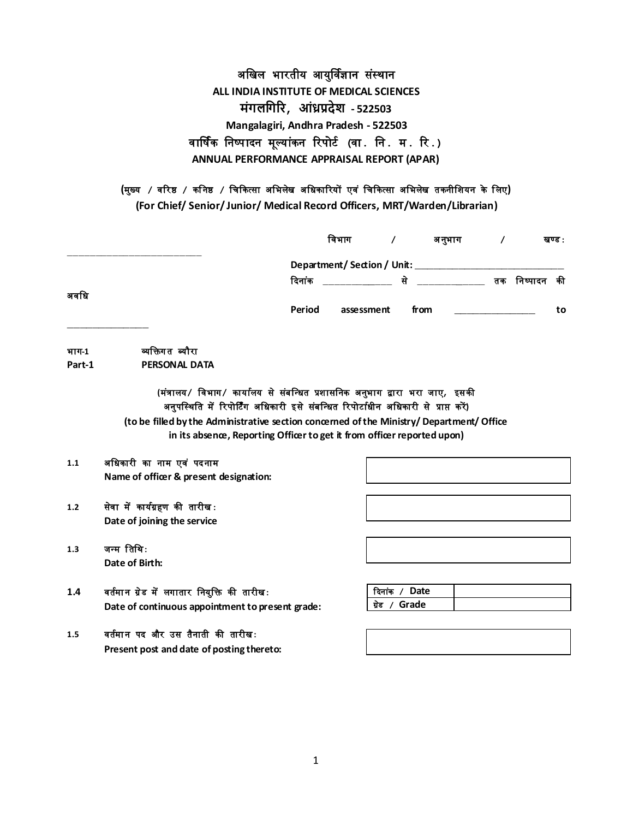# अखिल भारतीय आयुर्विज्ञान संस्थान **ALL INDIA INSTITUTE OF MEDICAL SCIENCES मंगलगगरि, आंध्रप्रदेश - 522503 Mangalagiri, Andhra Pradesh - 522503** वार्षिक खनष्पादन मूलयांकन ररपोर्ि **(**वा**.** खन**.** म**.** रर**.) ANNUAL PERFORMANCE APPRAISAL REPORT (APAR)**

**(**मुख्य **/** वररष्ठ **/** कख नष्ठ **/** खिककत्सा अखभलेि अखिकाररयों एव ं खिककत्सा अखभलेि तकनीखियन के खलए**)**

**(For Chief/ Senior/ Junior/ Medical Record Officers, MRT/Warden/Librarian)**

|        |                                                                                                                                                                                                                                                                                                                                             |        | विभाग      | $\prime$      | अनुभाग | $\prime$       | खण्ड : |
|--------|---------------------------------------------------------------------------------------------------------------------------------------------------------------------------------------------------------------------------------------------------------------------------------------------------------------------------------------------|--------|------------|---------------|--------|----------------|--------|
|        |                                                                                                                                                                                                                                                                                                                                             |        |            |               |        |                |        |
| अवधि   |                                                                                                                                                                                                                                                                                                                                             | दिनांक |            |               |        | से तक निष्पादन | की     |
|        |                                                                                                                                                                                                                                                                                                                                             | Period | assessment |               | from   |                | to     |
| भाग-1  | व्यक्तिगत ब्यौरा                                                                                                                                                                                                                                                                                                                            |        |            |               |        |                |        |
| Part-1 | PERSONAL DATA                                                                                                                                                                                                                                                                                                                               |        |            |               |        |                |        |
|        | (मंत्रालय/ विभाग/ कार्यालय से संबन्धित प्रशासनिक अनुभाग द्वारा भरा जाए, इसकी<br>अनुपस्थिति में रिपोर्टिंग अधिकारी इसे संबन्धित रिपोर्टाधीन अधिकारी से प्राप्त करें)<br>(to be filled by the Administrative section concerned of the Ministry/ Department/ Office<br>in its absence, Reporting Officer to get it from officer reported upon) |        |            |               |        |                |        |
| 1.1    | अधिकारी का नाम एवं पदनाम                                                                                                                                                                                                                                                                                                                    |        |            |               |        |                |        |
|        | Name of officer & present designation:                                                                                                                                                                                                                                                                                                      |        |            |               |        |                |        |
| 1.2    | सेवा में कार्यग्रहण की तारीख:<br>Date of joining the service                                                                                                                                                                                                                                                                                |        |            |               |        |                |        |
| 1.3    | जन्म तिथि:                                                                                                                                                                                                                                                                                                                                  |        |            |               |        |                |        |
|        | Date of Birth:                                                                                                                                                                                                                                                                                                                              |        |            |               |        |                |        |
| 1.4    | वर्तमान ग्रेड में लगातार नियुक्ति की तारीखः                                                                                                                                                                                                                                                                                                 |        |            | दिनांक / Date |        |                |        |
|        | Date of continuous appointment to present grade:                                                                                                                                                                                                                                                                                            |        |            | ग्रेड / Grade |        |                |        |
| 1.5    | वर्तमान पद और उस तैनाती की तारीख:                                                                                                                                                                                                                                                                                                           |        |            |               |        |                |        |
|        | Present post and date of posting thereto:                                                                                                                                                                                                                                                                                                   |        |            |               |        |                |        |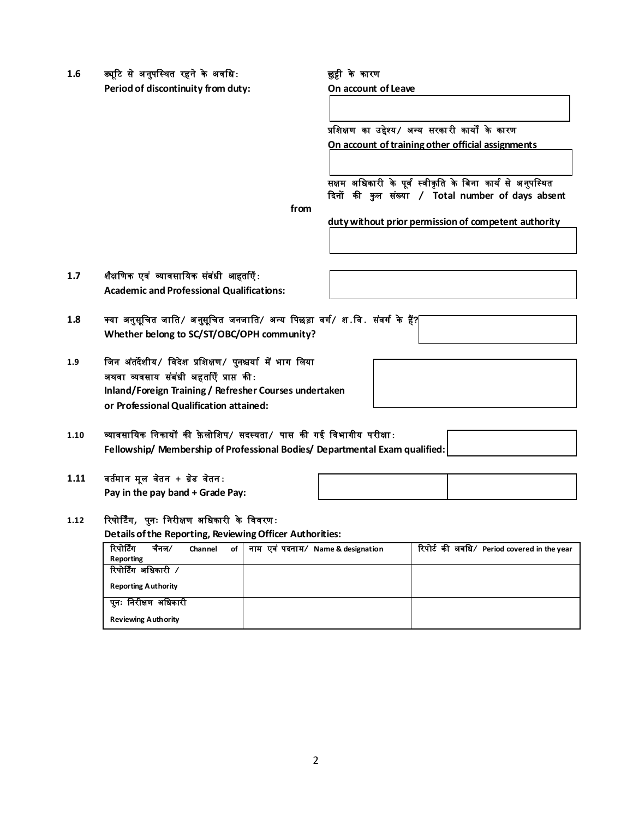1.6 ड्यूटि से अनुपस्थित रहने के अवधि: **website the search of the search of the search** 

**Period of discontinuity from duty: On account of Leave** 

प्रखिक्षण का उद्देश्य**/** अधय सरका री कायों के कारण **On account of training other official assignments** 

सक्षम अधिकारी के पूर्व स्वीकृति के बिना कार्य से अनुपस्थित कदनों की कु ल स ंख्या **/ Total number of days absent** 

**from**

**duty without prior permission of competent authority**

### **1.7** ि ैक्षखणक एव ं व्यावसाखयक स ंब ंिी आहतािएँ**: Academic and Professional Qualifications:**

|     | Auddenne and Froicesianal Quannuations.                                         |  |  |
|-----|---------------------------------------------------------------------------------|--|--|
| 1.8 | क्या अनुसूचित जाति ⁄ अनुसूचित जनजाति ⁄ अन्य पिछड़ा वर्ग ⁄ श वि . संवर्ग के हैं? |  |  |

**Whether belong to SC/ST/OBC/OPH community?**

**1.9** खजन अ ंतदेिीय**/** खवदेि प्रखिक्षण**/** पुनश्चयाि मेंभाग खलया अथवा व्यवसाय स ंब ंिी अहतािएँ प्राप्त की**:**

**or Professional Qualification attained:**

**Inland/Foreign Training / Refresher Courses undertaken**

## **1.10** व्यावसाखयक खनकायों की फ़े लोखिप**/** सदस्यता**/** पास की गई खवभागीय परीक्षा**: Fellowship/ Membership of Professional Bodies/ Departmental Exam qualified:**

## **1.11** वतिमा न मूल व ेतन **+** ग्र ेड व ेतन**:**

**Pay in the pay band + Grade Pay:**

## **1.12** ररपोर्र्िंग**,** पुनः ख नरीक्षण अखिकारी के खववरण**:**

**Details of the Reporting, Reviewing Officer Authorities:**

| रिपोर्टिंग                 | चैनल ∕ | Channel | of | नाम एवं पदनाम/ Name & designation | रिपोर्ट की अवधि/ Period covered in the year |
|----------------------------|--------|---------|----|-----------------------------------|---------------------------------------------|
| Reporting                  |        |         |    |                                   |                                             |
| रिपोर्टिंग अधिकारी /       |        |         |    |                                   |                                             |
| <b>Reporting Authority</b> |        |         |    |                                   |                                             |
| पुनः निरीक्षण अधिकारी      |        |         |    |                                   |                                             |
| <b>Reviewing Authority</b> |        |         |    |                                   |                                             |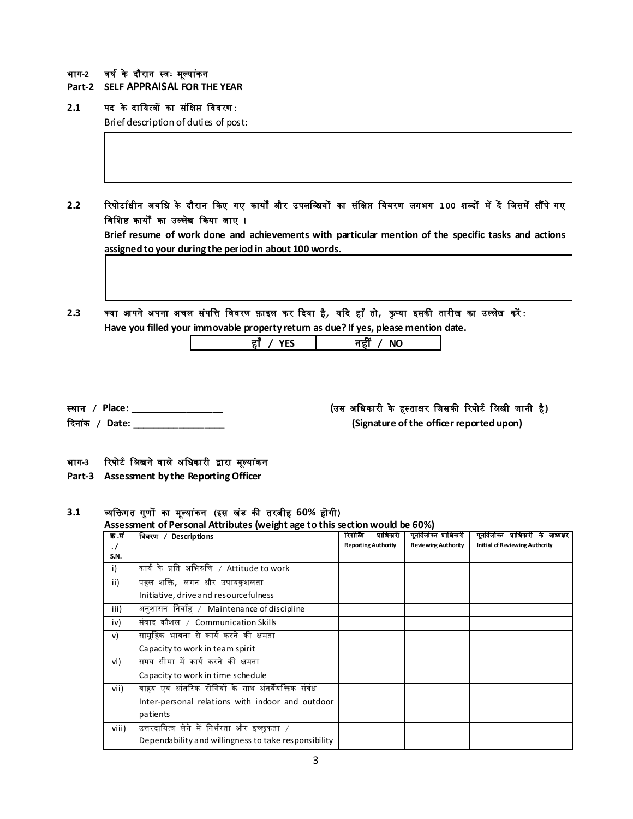#### भाग-2 वर्ष के दौरान स्वः मूल्यांकन

- **Part-2 SELF APPRAISAL FOR THE YEAR**
- **2.1** पद के दाखयत्वों का स ंखक्षप्त खववरण**:**

Brief description of duties of post:

**2.2** ररपोर्ाििीन अवखि के दौरान ककए गए कायों और उपलखब्ियों का स ंखक्षप्त खववरण लगभग **100** िब्दों मेंदें खजसमेंसौंपेगए विशिष्ट कार्यों का उल्लेख किया जाए ।

**Brief resume of work done and achievements with particular mention of the specific tasks and actions assigned to your during the period in about 100 words.**

2.3 क्या आपने अपना अचल संपत्ति विवरण फ़ाइल कर दिया है*, य*दि हाँ तो*, कृ*प्या इसकी तारीख का उल्लेख करें: **Have you filled your immovable property return as due? If yes, please mention date.**

| Ħ |
|---|
|   |

- 
- 

## स्थान **/ Place: \_\_\_\_\_\_\_\_\_\_\_\_\_\_\_\_\_\_ (**उस अखिकारी के हस् ताक्षर खजसकी ररपोर्ि खलिी जानी है**)**

कदना ंक **/ Date: \_\_\_\_\_\_\_\_\_\_\_\_\_\_\_\_\_\_ (Signature of the officer reported upon)**

#### भाग-3 रिपोर्ट लिखने वाले अधिकारी द्वारा मूल्यांकन

**Part-3 Assessment by the Reporting Officer**

#### **3.1** व्यखिग त ग ुणों का मूलया ंकन **(**इस ि ंड की तरजीह **60%** होगी**)**

#### **Assessment of Personal Attributes (weight age to this section would be 60%)**

| क .सं   | विवरण / Descriptions                                 | रिपोर्टिंग<br>प्राधिकरी    | पुनर्विलोका प्राधिकारी     | पुनर्विलोका प्राधिकारी के आध्यक्षर |
|---------|------------------------------------------------------|----------------------------|----------------------------|------------------------------------|
| $\cdot$ |                                                      | <b>Reporting Authority</b> | <b>Reviewing Authority</b> | Initial of Reviewing Authority     |
| S.N.    |                                                      |                            |                            |                                    |
| i)      | कार्यके प्रति अभिरुचि / Attitude to work             |                            |                            |                                    |
| ii)     | पहल शक्ति <i>,</i> लगन और उपायकुशलता                 |                            |                            |                                    |
|         | Initiative, drive and resourcefulness                |                            |                            |                                    |
| iii)    | अनुशासन निर्वाह / Maintenance of discipline          |                            |                            |                                    |
| iv)     | संवाद कौशल / Communication Skills                    |                            |                            |                                    |
| v)      | सामूहिक भावना से कार्य करने की क्षमता                |                            |                            |                                    |
|         | Capacity to work in team spirit                      |                            |                            |                                    |
| vi)     | समय सीमा में कार्य करने की क्षमता                    |                            |                            |                                    |
|         | Capacity to work in time schedule                    |                            |                            |                                    |
| vii)    | वाहय एवं आंतरिक रोगियों के साथ अंतर्वेयक्तिक संबंध   |                            |                            |                                    |
|         | Inter-personal relations with indoor and outdoor     |                            |                            |                                    |
|         | patients                                             |                            |                            |                                    |
| viii)   | उत्तरदायित्व लेने में निर्भरता और इच्छुकता /         |                            |                            |                                    |
|         | Dependability and willingness to take responsibility |                            |                            |                                    |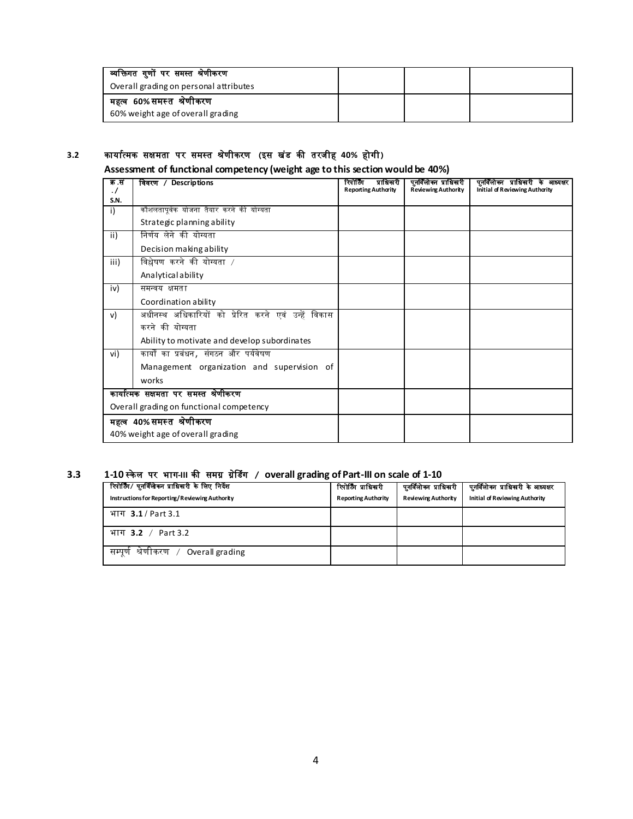| व्यक्तिगत गुणों पर समस्त श्रेणीकरण     |  |  |
|----------------------------------------|--|--|
| Overall grading on personal attributes |  |  |
| महत्व 60%समस्त श्रेणीकरण               |  |  |
| 60% weight age of overall grading      |  |  |

# **3.2** कायाित्मक सक्षमता पर समस्त श्र ेणीकरण **(**इस ि ंड की तरजीह **40%** होगी**)**

# **Assessment of functional competency (weight age to this section would be 40%)**

| क .सं<br>$\cdot$ / | विवरण / Descriptions                                | प्राधिकारी<br>रिपोर्टिंग<br><b>Reporting Authority</b> | पुनर्विलोका प्राधिकारी<br><b>Reviewing Authority</b> | पुनर्विलोक्न प्राधिकारी के आध्यक्षर<br><b>Initial of Reviewing Authority</b> |
|--------------------|-----------------------------------------------------|--------------------------------------------------------|------------------------------------------------------|------------------------------------------------------------------------------|
| S.N.               |                                                     |                                                        |                                                      |                                                                              |
| i)                 | कौशलतापूर्वक योजना तैयार करने की योग्यता            |                                                        |                                                      |                                                                              |
|                    | Strategic planning ability                          |                                                        |                                                      |                                                                              |
| ii)                | निर्णय लेने की योग्यता                              |                                                        |                                                      |                                                                              |
|                    | Decision making ability                             |                                                        |                                                      |                                                                              |
| iii)               | विश्लेषण करने की योग्यता /                          |                                                        |                                                      |                                                                              |
|                    | Analytical ability                                  |                                                        |                                                      |                                                                              |
| iv)                | समन्वय क्षमता                                       |                                                        |                                                      |                                                                              |
|                    | Coordination ability                                |                                                        |                                                      |                                                                              |
| v)                 | अधीनस्थ अधिकारियों को प्रेरित करने एवं उन्हें विकास |                                                        |                                                      |                                                                              |
|                    | करने की योग्यता                                     |                                                        |                                                      |                                                                              |
|                    | Ability to motivate and develop subordinates        |                                                        |                                                      |                                                                              |
| vi)                | कार्यों का प्रबंधन , संगठन और पर्यवेषण              |                                                        |                                                      |                                                                              |
|                    | Management organization and supervision of          |                                                        |                                                      |                                                                              |
|                    | works                                               |                                                        |                                                      |                                                                              |
|                    | कार्यात्मक सक्षमता पर समस्त श्रेणीकरण               |                                                        |                                                      |                                                                              |
|                    | Overall grading on functional competency            |                                                        |                                                      |                                                                              |
|                    | महत्व 40%समस्त श्रेणीकरण                            |                                                        |                                                      |                                                                              |
|                    | 40% weight age of overall grading                   |                                                        |                                                      |                                                                              |

# **3.3 1-10** स्के ल पर भाग**-III** की समग्र ग्र ेडडंग **/ overall grading of Part-III on scale of 1-10**

| रिपोर्टिंग/ पुनर्विलेकन प्राधिकरी के लिए निर्देश<br>Instructions for Reporting/Reviewing Authority | रिपोर्टिंग प्राधिकारी<br><b>Reporting Authority</b> | पुनर्विलोका प्राधिकारी<br><b>Reviewing Authority</b> | पुनर्विलोका प्राधिकारी के आध्यक्षर<br>Initial of Reviewing Authority |
|----------------------------------------------------------------------------------------------------|-----------------------------------------------------|------------------------------------------------------|----------------------------------------------------------------------|
| भाग $3.1/$ Part 3.1                                                                                |                                                     |                                                      |                                                                      |
| भाग 3.2 / Part 3.2                                                                                 |                                                     |                                                      |                                                                      |
| सम्पूर्ण श्रेणीकरण  /<br>Overall grading                                                           |                                                     |                                                      |                                                                      |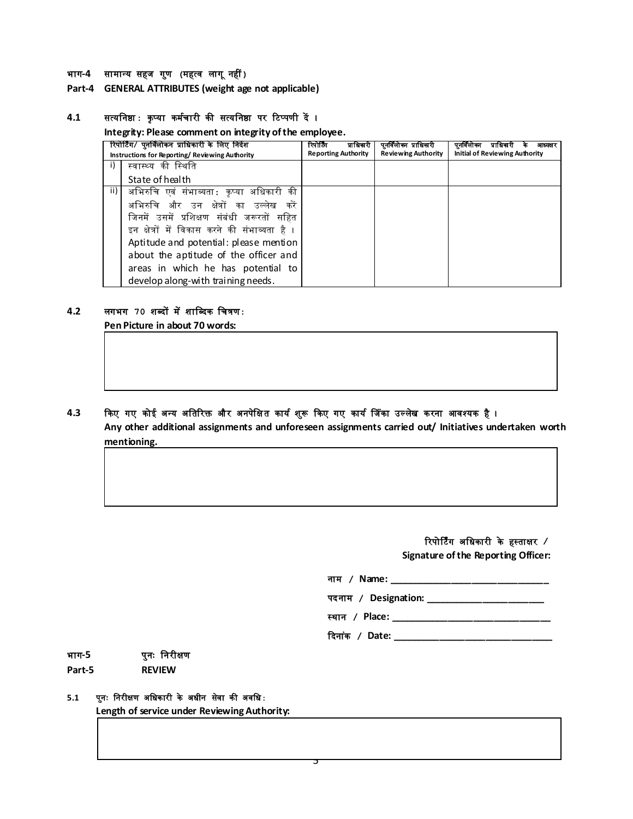#### भाग**-4** सामाधय सहज ग ुण **(**महत्व लाग ूनहीं**)**

#### **Part-4 GENERAL ATTRIBUTES (weight age not applicable)**

#### **4.1** सत्यखनष्ठा**:** कृ प्या कमििारी की सत्यखनष्ठा पर रर्प्पणी दें ।

**Integrity: Please comment on integrity of the employee.**

|        | रिपोर्टिंग/ पुनावलोकन प्राधिकारी के लिए निर्देश<br>Instructions for Reporting/Reviewing Authority | रिपोर्लिंग<br>प्रााधनारा<br><b>Reporting Authority</b> | पुनावलाका प्राधिकारी<br><b>Reviewing Authority</b> | पनावलाका<br>प्राधिकारी<br>आध्यक्षर<br><b>Initial of Reviewing Authority</b> |
|--------|---------------------------------------------------------------------------------------------------|--------------------------------------------------------|----------------------------------------------------|-----------------------------------------------------------------------------|
| $\Box$ | स्वास्थ्य की स्थिति                                                                               |                                                        |                                                    |                                                                             |
|        | State of health                                                                                   |                                                        |                                                    |                                                                             |
| ii) I  | अभिरुचि एवं संभाव्यता: कृप्या अधिकारी की                                                          |                                                        |                                                    |                                                                             |
|        | अभिरुचि और उन क्षेत्रों का उल्लेख करें                                                            |                                                        |                                                    |                                                                             |
|        | जिनमें उसमें प्रशिक्षण संबंधी जरूरतों सहित                                                        |                                                        |                                                    |                                                                             |
|        | इन क्षेत्रों में विकास करने की संभाव्यता है ।                                                     |                                                        |                                                    |                                                                             |
|        | Aptitude and potential: please mention                                                            |                                                        |                                                    |                                                                             |
|        | about the aptitude of the officer and                                                             |                                                        |                                                    |                                                                             |
|        | areas in which he has potential to                                                                |                                                        |                                                    |                                                                             |
|        | develop along-with training needs.                                                                |                                                        |                                                    |                                                                             |

#### **4.2** लगभग **70** िब्दों मेंिाखब्दक खित्रण**:**

**Pen Picture in about 70 words:**

#### 4.3 किए गए कोई अन्य अतिरिक्त और अनपेक्षित कार्य शुरू किए गए कार्य जिंका उल्लेख करना आवश्यक है ।

**Any other additional assignments and unforeseen assignments carried out/ Initiatives undertaken worth mentioning.**

# ररपोर्र्िंग अखिकारी के हस्ताक्षर **/**

**Signature of the Reporting Officer:**

| नाम / Name:                   |
|-------------------------------|
| पदनाम / Designation: ________ |
| $ -$                          |

स्थान **/ Place: \_\_\_\_\_\_\_\_\_\_\_\_\_\_\_\_\_\_\_\_\_\_\_\_\_\_\_\_\_\_\_**

कदना ंक **/ Date: \_\_\_\_\_\_\_\_\_\_\_\_\_\_\_\_\_\_\_\_\_\_\_\_\_\_\_\_\_\_\_**

## भाग**-5** पुनः खनरीक्षण **Part-5 REVIEW**

# **5.1** प ुनः खनरीक्षण अखिकारी के अिीन सेवा की अवखि**:**

**Length of service under Reviewing Authority:**

5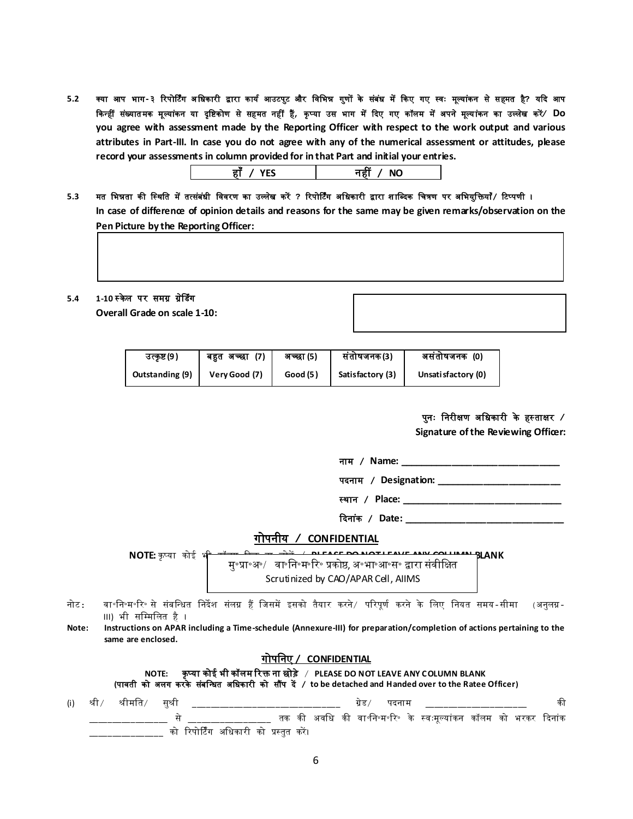5.2 क्या आप भाग-३ रिपोर्टिंग अधिकारी द्वारा कार्य आउटपुट और विभिन्न गुणों के संबंध में किए गए स्वः मूल्यांकन से सहमत है? यदि आप किन्हीं संख्यातमक मूल्यांकन या दृष्टिकोण से सहमत नहीं हैं, कृप्या उस भाग में दिए गए कॉलम में अपने मूल्यांकन का उल्लेख करें⁄ **Do you agree with assessment made by the Reporting Officer with respect to the work output and various attributes in Part-III. In case you do not agree with any of the numerical assessment or attitudes, please record your assessments in column provided for in that Part and initial your entries.**

| . . | __       |
|-----|----------|
| --  | NΙO<br>. |

5.3 मत भिन्नता की स्थिति में तत्संबंधी विवरण का उल्लेख करें ? रिपोर्टिंग अधिकारी द्वारा शाब्दिक चित्रण पर अभियुक्तियाँ*/* टिप्पणी । **In case of difference of opinion details and reasons for the same may be given remarks/observation on the Pen Picture by the Reporting Officer:**

#### 5.4 **1-10 स्केल पर समग्र ग्रेडिंग**

**Overall Grade on scale 1-10:**

| उत्कृष्ट (9 )   | (7)<br>बहत अच्छा | अच्छा (5) | संतोषजनक(3)      | असंतोषजनक (0)       |
|-----------------|------------------|-----------|------------------|---------------------|
| Outstanding (9) | Very Good (7)    | Good (5)  | Satisfactory (3) | Unsati sfactory (0) |

पुनः खनरीक्षण अखिकारी के हस् ताक्षर **/** 

**Signature of the Reviewing Officer:** 

| नाम | / Name: |  |
|-----|---------|--|
|     |         |  |

पदनाम **/ Designation: \_\_\_\_\_\_\_\_\_\_\_\_\_\_\_\_\_\_\_\_\_\_\_\_**

स्थान **/ Place: \_\_\_\_\_\_\_\_\_\_\_\_\_\_\_\_\_\_\_\_\_\_\_\_\_\_\_\_\_\_\_**

 **दिनांक / Date: \_\_\_\_\_\_\_\_\_\_\_\_\_\_\_\_\_** 

## गोपनीय **/ CONFIDENTIAL**

**NOTE:** कृप्या कोई भ<del>ी कॉल्स किया कि उनके संस्कृप्य स्वास्थ्य स्वास्थ्य स्वास्थ्य BLANK</del> मु॰प्रा॰अ॰/ वा॰नि॰म॰रि॰ प्रकोष्ठ, अ॰भा॰आ॰स॰ द्वारा संवीक्षित Scrutinized by CAO/APAR Cell, AIIMS

- नोर्: वा॰खन॰म॰रर॰ से संबखधित खनदेि संलग्न हैं खजसमें इसको तैयार करने/ पररपूणि करने के खलए खनयत समय-सीमा (अनुलग्न-III) भी सखम्मखलत है ।
- **Note: Instructions on APAR including a Time-schedule (Annexure-III) for preparation/completion of actions pertaining to the same are enclosed.**

#### गोपखनए **/ CONFIDENTIAL**

**NOTE:** कृ प्या कोई भी कॉलम ररि ना छोड़े / **PLEASE DO NOT LEAVE ANY COLUMN BLANK**

**(**पावती को अलग करके संबखधित अखिकारी को सौंप दें **/ to be detached and Handed over to the Ratee Officer)**

| (i) श्री <i>/</i> | श्रीमति/ | सश्री |                                         |  |  |  |  |                                                                |  |  |
|-------------------|----------|-------|-----------------------------------------|--|--|--|--|----------------------------------------------------------------|--|--|
|                   |          |       |                                         |  |  |  |  | तक की अवधि की वा॰नि॰म॰रि॰ के स्वःमुल्यांकन कॉलम को भरकर दिनांक |  |  |
|                   |          |       | को रिपोर्टिंग अधिकारी को प्रस्तुत करें। |  |  |  |  |                                                                |  |  |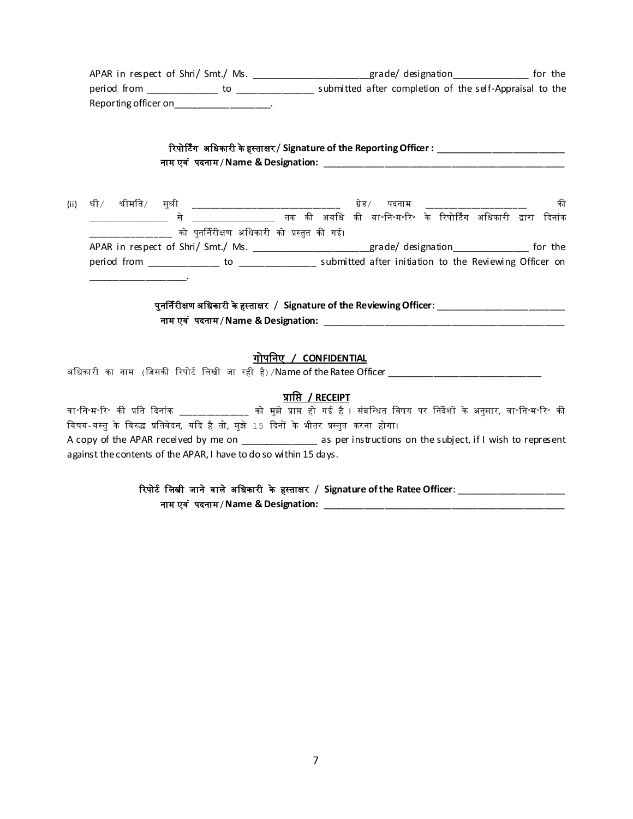APAR in respect of Shri/ Smt./ Ms. \_\_\_\_\_\_\_\_\_\_\_\_\_\_\_\_\_\_\_\_\_\_grade/ designation\_\_\_\_\_\_\_\_\_\_\_\_\_\_\_\_\_ for the period from \_\_\_\_\_\_\_\_\_\_\_\_\_\_ to \_\_\_\_\_\_\_\_\_\_\_\_\_\_\_ submitted after completion of the self-Appraisal to the Reporting officer on\_\_\_\_\_\_\_\_\_\_\_\_\_\_\_\_\_\_\_\_.

| रिपोर्टिंग  अधिकारी के हस्ताक्षर / Signature of the Reporting Offiœr : ृ |  |
|--------------------------------------------------------------------------|--|
| नाम एवं  पदनाम / Name & Designation:                                     |  |

(ii) श्री श्रीमति सुश्री \_\_\_\_\_\_\_\_\_\_\_\_\_\_\_\_\_\_\_\_\_\_\_\_\_\_\_\_\_ ग्रेड पदनाम \_\_\_\_\_\_\_\_\_\_\_\_\_\_\_\_\_\_\_ की \_\_\_\_\_\_\_\_\_\_\_\_\_\_\_\_\_ से \_\_\_\_\_\_\_\_\_\_\_\_\_\_\_\_\_\_ तक की अवखि की वा॰खन॰म॰रर॰ के ररपोर्र्िंग अखिकारी द्वारा कदनांक \_\_\_\_\_\_\_\_\_\_\_\_\_\_\_\_\_\_ को पुनर्निरीक्षण अखिकारी को प्रस्तुत की गई। APAR in respect of Shri/ Smt./ Ms. \_\_\_\_\_\_\_\_\_\_\_\_\_\_\_\_\_\_\_\_grade/ designation\_\_\_\_\_\_\_\_\_\_\_\_\_\_ for the period from \_\_\_\_\_\_\_\_\_\_\_\_\_\_\_ to \_\_\_\_\_\_\_\_\_\_\_\_\_\_\_\_\_ submitted after initiation to the Reviewing Officer on \_\_\_\_\_\_\_\_\_\_\_\_\_\_\_\_\_\_\_.

> पुनर्निरीक्षण अखिकारी केहस्ताक्षर / **Signature of the Reviewing Officer**: \_\_\_\_\_\_\_\_\_\_\_\_\_\_\_\_\_\_\_\_\_\_\_\_\_ नाम एव ं पदनाम / **Name & Designation:** \_\_\_\_\_\_\_\_\_\_\_\_\_\_\_\_\_\_\_\_\_\_\_\_\_\_\_\_\_\_\_\_\_\_\_\_\_\_\_\_\_\_\_\_\_\_\_

### गोपखनए **/ CONFIDENTIAL**

अखिकारी का नाम (खजसकी ररपोर्ि खलिी जा रही है)/Name of the Ratee Officer \_\_\_\_\_\_\_\_\_\_\_\_\_\_\_\_\_\_\_\_\_\_\_\_\_\_\_\_\_\_

#### प्राखप्त **/ RECEIPT**

वा॰खन॰म॰रर॰ की प्रखत कदनांक \_\_\_\_\_\_\_\_\_\_\_\_\_\_\_ को मुझे प्राप्त हो गई है । संबखधित खवषय पर खनदेिों के अनुसार, वा॰खन॰म॰रर॰ की विषय-वस्तु के विरुद्ध प्रतिवेदन, यदि है तो, मुझे 15 दिनों के भीतर प्रस्तुत करना होगा। A copy of the APAR received by me on \_\_\_\_\_\_\_\_\_\_\_\_\_\_\_\_\_ as per instructions on the subject, if I wish to represent against the contents of the APAR, I have to do so within 15 days.

# रिपोर्ट लिखी जाने वाले अधिकारी के हस्ताक्षर / Signature of the Ratee Officer:

नाम एव ं पदनाम / **Name & Designation:** \_\_\_\_\_\_\_\_\_\_\_\_\_\_\_\_\_\_\_\_\_\_\_\_\_\_\_\_\_\_\_\_\_\_\_\_\_\_\_\_\_\_\_\_\_\_\_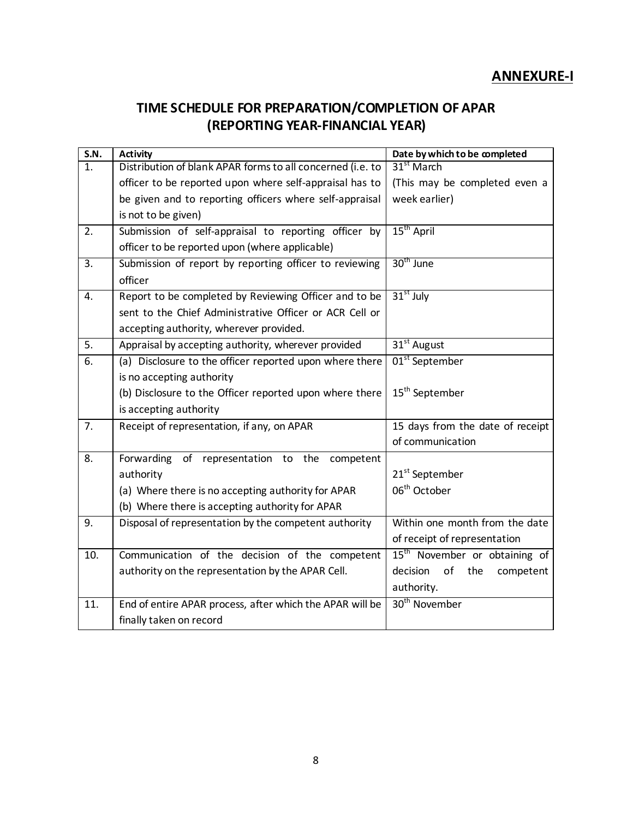# **ANNEXURE-I**

# **TIME SCHEDULE FOR PREPARATION/COMPLETION OF APAR (REPORTING YEAR-FINANCIAL YEAR)**

| S.N.             | <b>Activity</b>                                            | Date by which to be completed             |
|------------------|------------------------------------------------------------|-------------------------------------------|
| 1.               | Distribution of blank APAR forms to all concerned (i.e. to | 31 <sup>st</sup> March                    |
|                  | officer to be reported upon where self-appraisal has to    | (This may be completed even a             |
|                  | be given and to reporting officers where self-appraisal    | week earlier)                             |
|                  | is not to be given)                                        |                                           |
| 2.               | Submission of self-appraisal to reporting officer by       | 15 <sup>th</sup> April                    |
|                  | officer to be reported upon (where applicable)             |                                           |
| $\overline{3}$ . | Submission of report by reporting officer to reviewing     | 30 <sup>th</sup> June                     |
|                  | officer                                                    |                                           |
| $\overline{4}$ . | Report to be completed by Reviewing Officer and to be      | $31st$ July                               |
|                  | sent to the Chief Administrative Officer or ACR Cell or    |                                           |
|                  | accepting authority, wherever provided.                    |                                           |
| $\overline{5}$ . | Appraisal by accepting authority, wherever provided        | $31st$ August                             |
| 6.               | (a) Disclosure to the officer reported upon where there    | 01 <sup>st</sup> September                |
|                  | is no accepting authority                                  |                                           |
|                  | (b) Disclosure to the Officer reported upon where there    | 15 <sup>th</sup> September                |
|                  | is accepting authority                                     |                                           |
| 7.               | Receipt of representation, if any, on APAR                 | 15 days from the date of receipt          |
|                  |                                                            | of communication                          |
| 8.               | Forwarding<br>of<br>representation to the<br>competent     |                                           |
|                  | authority                                                  | 21 <sup>st</sup> September                |
|                  | (a) Where there is no accepting authority for APAR         | 06 <sup>th</sup> October                  |
|                  | (b) Where there is accepting authority for APAR            |                                           |
| 9.               | Disposal of representation by the competent authority      | Within one month from the date            |
|                  |                                                            | of receipt of representation              |
| 10.              | Communication of the decision of the competent             | 15 <sup>th</sup> November or obtaining of |
|                  | authority on the representation by the APAR Cell.          | of the<br>decision<br>competent           |
|                  |                                                            | authority.                                |
| 11.              | End of entire APAR process, after which the APAR will be   | 30 <sup>th</sup> November                 |
|                  | finally taken on record                                    |                                           |